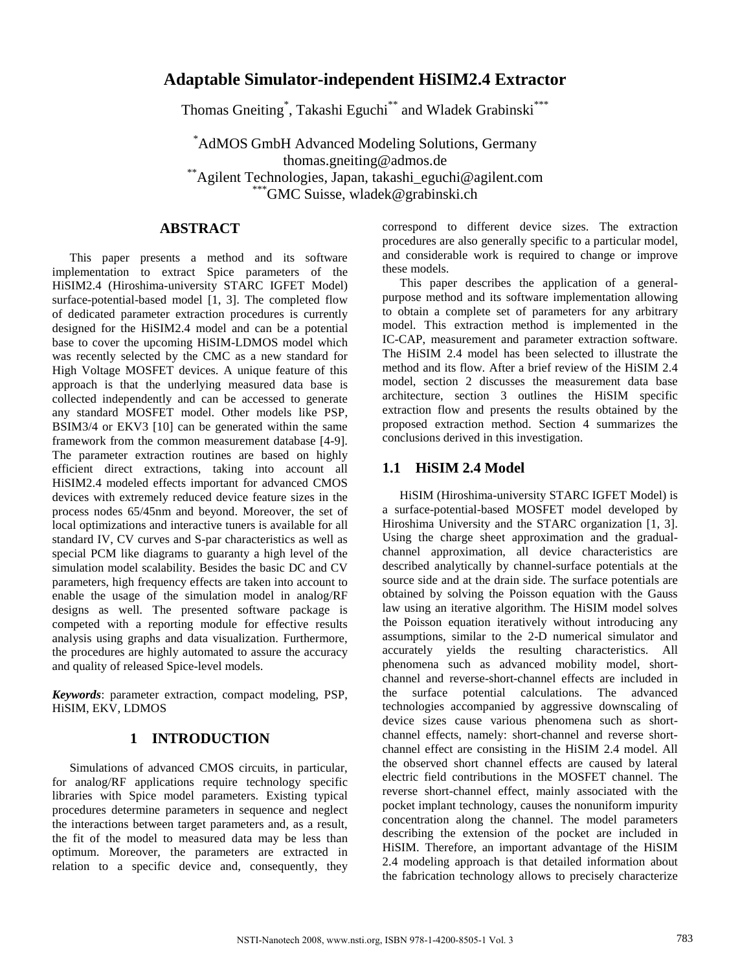# **Adaptable Simulator-independent HiSIM2.4 Extractor**

Thomas Gneiting<sup>\*</sup>, Takashi Eguchi<sup>\*\*</sup> and Wladek Grabinski<sup>\*\*\*</sup>

\*AdMOS GmbH Advanced Modeling Solutions, Germany thomas.gneiting@admos.de \*\*Agilent Technologies, Japan, takashi\_eguchi@agilent.com \*\*\*GMC Suisse, wladek@grabinski.ch

## **ABSTRACT**

This paper presents a method and its software implementation to extract Spice parameters of the HiSIM2.4 (Hiroshima-university STARC IGFET Model) surface-potential-based model [1, 3]. The completed flow of dedicated parameter extraction procedures is currently designed for the HiSIM2.4 model and can be a potential base to cover the upcoming HiSIM-LDMOS model which was recently selected by the CMC as a new standard for High Voltage MOSFET devices. A unique feature of this approach is that the underlying measured data base is collected independently and can be accessed to generate any standard MOSFET model. Other models like PSP, BSIM3/4 or EKV3 [10] can be generated within the same framework from the common measurement database [4-9]. The parameter extraction routines are based on highly efficient direct extractions, taking into account all HiSIM2.4 modeled effects important for advanced CMOS devices with extremely reduced device feature sizes in the process nodes 65/45nm and beyond. Moreover, the set of local optimizations and interactive tuners is available for all standard IV, CV curves and S-par characteristics as well as special PCM like diagrams to guaranty a high level of the simulation model scalability. Besides the basic DC and CV parameters, high frequency effects are taken into account to enable the usage of the simulation model in analog/RF designs as well. The presented software package is competed with a reporting module for effective results analysis using graphs and data visualization. Furthermore, the procedures are highly automated to assure the accuracy and quality of released Spice-level models.

*Keywords*: parameter extraction, compact modeling, PSP, HiSIM, EKV, LDMOS

## **1 INTRODUCTION**

Simulations of advanced CMOS circuits, in particular, for analog/RF applications require technology specific libraries with Spice model parameters. Existing typical procedures determine parameters in sequence and neglect the interactions between target parameters and, as a result, the fit of the model to measured data may be less than optimum. Moreover, the parameters are extracted in relation to a specific device and, consequently, they correspond to different device sizes. The extraction procedures are also generally specific to a particular model, and considerable work is required to change or improve these models.

This paper describes the application of a generalpurpose method and its software implementation allowing to obtain a complete set of parameters for any arbitrary model. This extraction method is implemented in the IC-CAP, measurement and parameter extraction software. The HiSIM 2.4 model has been selected to illustrate the method and its flow. After a brief review of the HiSIM 2.4 model, section 2 discusses the measurement data base architecture, section 3 outlines the HiSIM specific extraction flow and presents the results obtained by the proposed extraction method. Section 4 summarizes the conclusions derived in this investigation.

### **1.1 HiSIM 2.4 Model**

HiSIM (Hiroshima-university STARC IGFET Model) is a surface-potential-based MOSFET model developed by Hiroshima University and the STARC organization [1, 3]. Using the charge sheet approximation and the gradualchannel approximation, all device characteristics are described analytically by channel-surface potentials at the source side and at the drain side. The surface potentials are obtained by solving the Poisson equation with the Gauss law using an iterative algorithm. The HiSIM model solves the Poisson equation iteratively without introducing any assumptions, similar to the 2-D numerical simulator and accurately yields the resulting characteristics. All phenomena such as advanced mobility model, shortchannel and reverse-short-channel effects are included in the surface potential calculations. The advanced technologies accompanied by aggressive downscaling of device sizes cause various phenomena such as shortchannel effects, namely: short-channel and reverse shortchannel effect are consisting in the HiSIM 2.4 model. All the observed short channel effects are caused by lateral electric field contributions in the MOSFET channel. The reverse short-channel effect, mainly associated with the pocket implant technology, causes the nonuniform impurity concentration along the channel. The model parameters describing the extension of the pocket are included in HiSIM. Therefore, an important advantage of the HiSIM 2.4 modeling approach is that detailed information about the fabrication technology allows to precisely characterize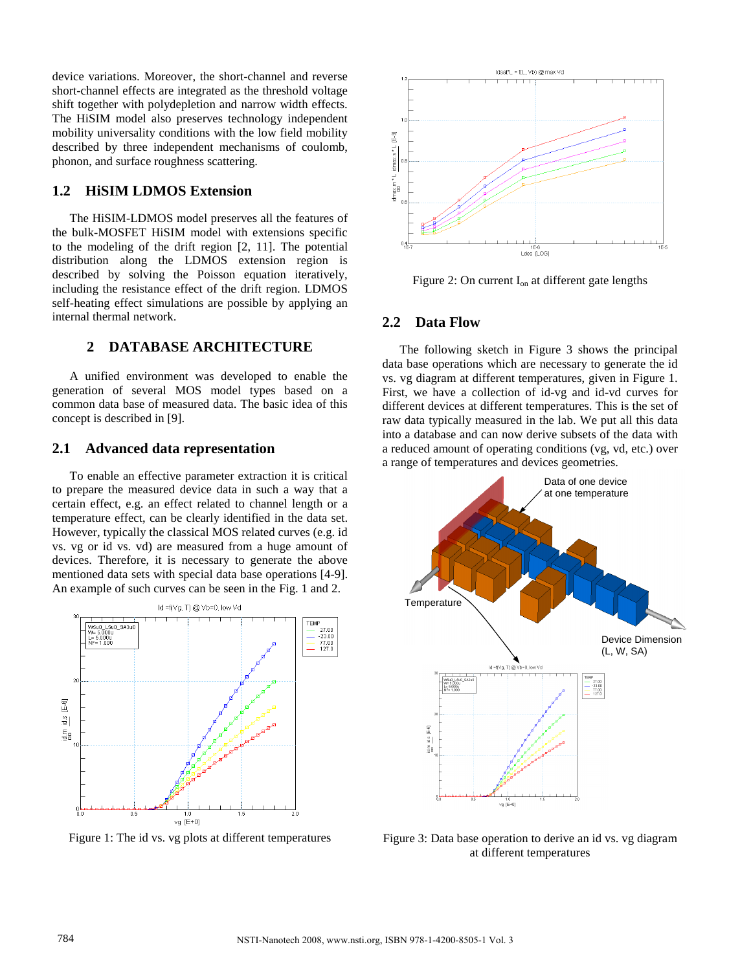device variations. Moreover, the short-channel and reverse short-channel effects are integrated as the threshold voltage shift together with polydepletion and narrow width effects. The HiSIM model also preserves technology independent mobility universality conditions with the low field mobility described by three independent mechanisms of coulomb, phonon, and surface roughness scattering.

## **1.2 HiSIM LDMOS Extension**

The HiSIM-LDMOS model preserves all the features of the bulk-MOSFET HiSIM model with extensions specific to the modeling of the drift region [2, 11]. The potential distribution along the LDMOS extension region is described by solving the Poisson equation iteratively, including the resistance effect of the drift region. LDMOS self-heating effect simulations are possible by applying an internal thermal network.

## **2 DATABASE ARCHITECTURE**

A unified environment was developed to enable the generation of several MOS model types based on a common data base of measured data. The basic idea of this concept is described in [9].

#### **2.1 Advanced data representation**

To enable an effective parameter extraction it is critical to prepare the measured device data in such a way that a certain effect, e.g. an effect related to channel length or a temperature effect, can be clearly identified in the data set. However, typically the classical MOS related curves (e.g. id vs. vg or id vs. vd) are measured from a huge amount of devices. Therefore, it is necessary to generate the above mentioned data sets with special data base operations [4-9]. An example of such curves can be seen in the Fig. 1 and 2.



Figure 1: The id vs. vg plots at different temperatures



Figure 2: On current  $I_{on}$  at different gate lengths

#### **2.2 Data Flow**

The following sketch in Figure 3 shows the principal data base operations which are necessary to generate the id vs. vg diagram at different temperatures, given in Figure 1. First, we have a collection of id-vg and id-vd curves for different devices at different temperatures. This is the set of raw data typically measured in the lab. We put all this data into a database and can now derive subsets of the data with a reduced amount of operating conditions (vg, vd, etc.) over a range of temperatures and devices geometries.



Figure 3: Data base operation to derive an id vs. vg diagram at different temperatures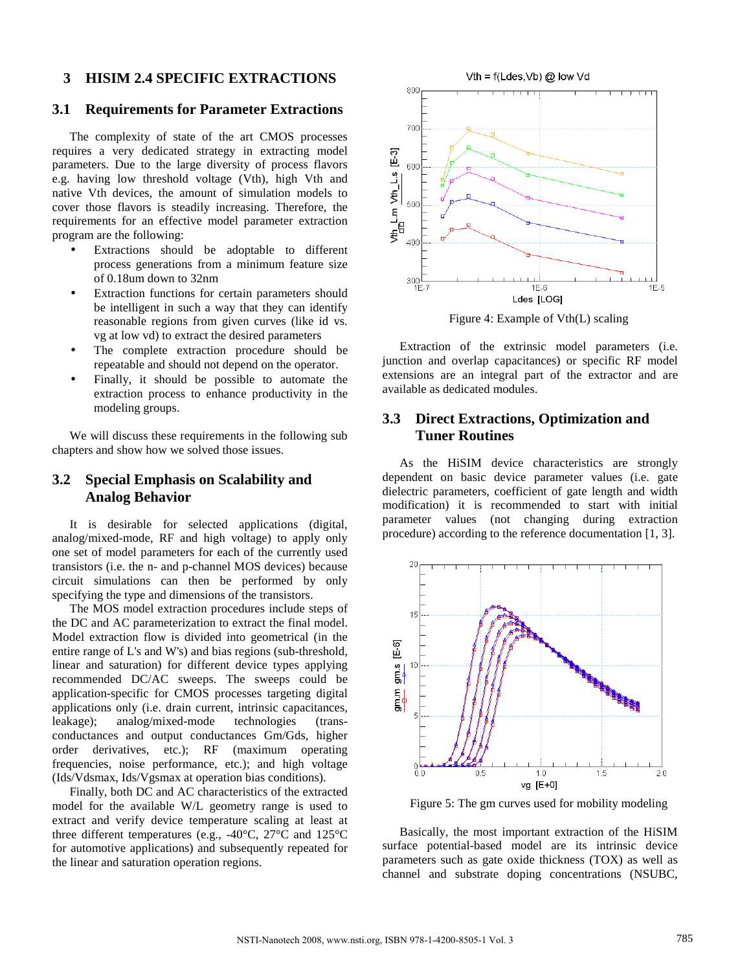### **3 HISIM 2.4 SPECIFIC EXTRACTIONS**

### **3.1 Requirements for Parameter Extractions**

The complexity of state of the art CMOS processes requires a very dedicated strategy in extracting model parameters. Due to the large diversity of process flavors e.g. having low threshold voltage (Vth), high Vth and native Vth devices, the amount of simulation models to cover those flavors is steadily increasing. Therefore, the requirements for an effective model parameter extraction program are the following:

- Extractions should be adoptable to different process generations from a minimum feature size of 0.18um down to 32nm
- Extraction functions for certain parameters should be intelligent in such a way that they can identify reasonable regions from given curves (like id vs. vg at low vd) to extract the desired parameters
- The complete extraction procedure should be repeatable and should not depend on the operator.
- Finally, it should be possible to automate the extraction process to enhance productivity in the modeling groups.

We will discuss these requirements in the following sub chapters and show how we solved those issues.

## **3.2 Special Emphasis on Scalability and Analog Behavior**

It is desirable for selected applications (digital, analog/mixed-mode, RF and high voltage) to apply only one set of model parameters for each of the currently used transistors (i.e. the n- and p-channel MOS devices) because circuit simulations can then be performed by only specifying the type and dimensions of the transistors.

The MOS model extraction procedures include steps of the DC and AC parameterization to extract the final model. Model extraction flow is divided into geometrical (in the entire range of L's and W's) and bias regions (sub-threshold, linear and saturation) for different device types applying recommended DC/AC sweeps. The sweeps could be application-specific for CMOS processes targeting digital applications only (i.e. drain current, intrinsic capacitances, leakage); analog/mixed-mode technologies (transconductances and output conductances Gm/Gds, higher order derivatives, etc.); RF (maximum operating frequencies, noise performance, etc.); and high voltage (Ids/Vdsmax, Ids/Vgsmax at operation bias conditions).

Finally, both DC and AC characteristics of the extracted model for the available W/L geometry range is used to extract and verify device temperature scaling at least at three different temperatures (e.g., -40°C, 27°C and 125°C for automotive applications) and subsequently repeated for the linear and saturation operation regions.



Figure 4: Example of Vth(L) scaling

Extraction of the extrinsic model parameters (i.e. junction and overlap capacitances) or specific RF model extensions are an integral part of the extractor and are available as dedicated modules.

## **3.3 Direct Extractions, Optimization and Tuner Routines**

As the HiSIM device characteristics are strongly dependent on basic device parameter values (i.e. gate dielectric parameters, coefficient of gate length and width modification) it is recommended to start with initial parameter values (not changing during extraction procedure) according to the reference documentation [1, 3].



Figure 5: The gm curves used for mobility modeling

Basically, the most important extraction of the HiSIM surface potential-based model are its intrinsic device parameters such as gate oxide thickness (TOX) as well as channel and substrate doping concentrations (NSUBC,